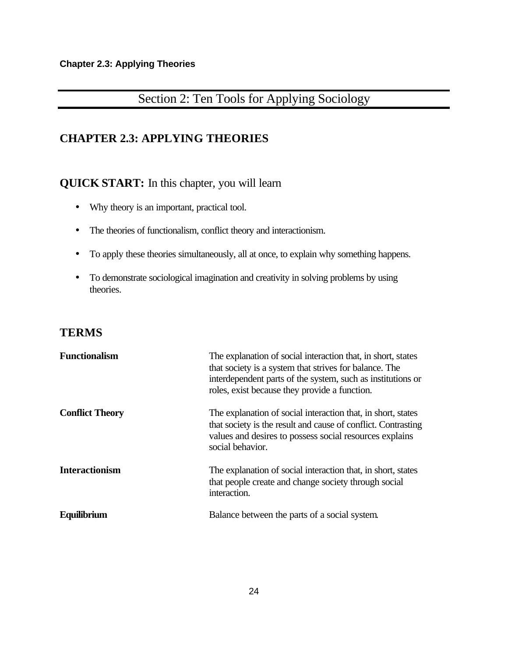# Section 2: Ten Tools for Applying Sociology

### **CHAPTER 2.3: APPLYING THEORIES**

### **QUICK START:** In this chapter, you will learn

- Why theory is an important, practical tool.
- The theories of functionalism, conflict theory and interactionism.
- To apply these theories simultaneously, all at once, to explain why something happens.
- To demonstrate sociological imagination and creativity in solving problems by using theories.

#### **TERMS**

| <b>Functionalism</b>   | The explanation of social interaction that, in short, states<br>that society is a system that strives for balance. The<br>interdependent parts of the system, such as institutions or<br>roles, exist because they provide a function. |
|------------------------|----------------------------------------------------------------------------------------------------------------------------------------------------------------------------------------------------------------------------------------|
| <b>Conflict Theory</b> | The explanation of social interaction that, in short, states<br>that society is the result and cause of conflict. Contrasting<br>values and desires to possess social resources explains<br>social behavior.                           |
| <b>Interactionism</b>  | The explanation of social interaction that, in short, states<br>that people create and change society through social<br>interaction.                                                                                                   |
| Equilibrium            | Balance between the parts of a social system.                                                                                                                                                                                          |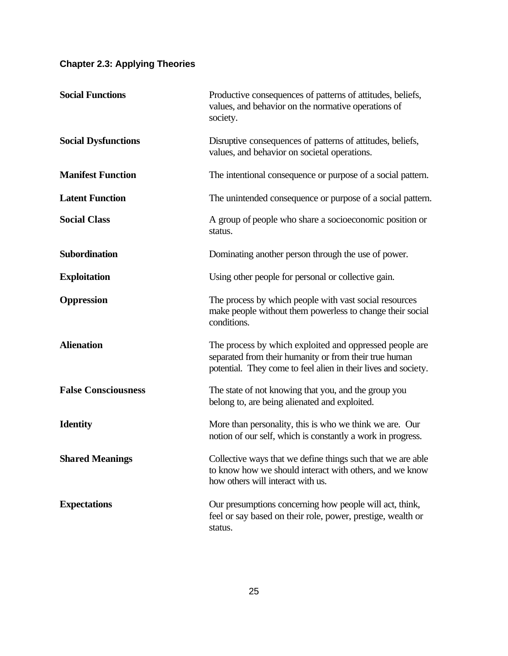| <b>Social Functions</b>    | Productive consequences of patterns of attitudes, beliefs,<br>values, and behavior on the normative operations of<br>society.                                                       |
|----------------------------|-------------------------------------------------------------------------------------------------------------------------------------------------------------------------------------|
| <b>Social Dysfunctions</b> | Disruptive consequences of patterns of attitudes, beliefs,<br>values, and behavior on societal operations.                                                                          |
| <b>Manifest Function</b>   | The intentional consequence or purpose of a social pattern.                                                                                                                         |
| <b>Latent Function</b>     | The unintended consequence or purpose of a social pattern.                                                                                                                          |
| <b>Social Class</b>        | A group of people who share a socioeconomic position or<br>status.                                                                                                                  |
| Subordination              | Dominating another person through the use of power.                                                                                                                                 |
| <b>Exploitation</b>        | Using other people for personal or collective gain.                                                                                                                                 |
| <b>Oppression</b>          | The process by which people with vast social resources<br>make people without them powerless to change their social<br>conditions.                                                  |
| <b>Alienation</b>          | The process by which exploited and oppressed people are<br>separated from their humanity or from their true human<br>potential. They come to feel alien in their lives and society. |
| <b>False Consciousness</b> | The state of not knowing that you, and the group you<br>belong to, are being alienated and exploited.                                                                               |
| <b>Identity</b>            | More than personality, this is who we think we are. Our<br>notion of our self, which is constantly a work in progress.                                                              |
| <b>Shared Meanings</b>     | Collective ways that we define things such that we are able<br>to know how we should interact with others, and we know<br>how others will interact with us.                         |
| <b>Expectations</b>        | Our presumptions concerning how people will act, think,<br>feel or say based on their role, power, prestige, wealth or<br>status.                                                   |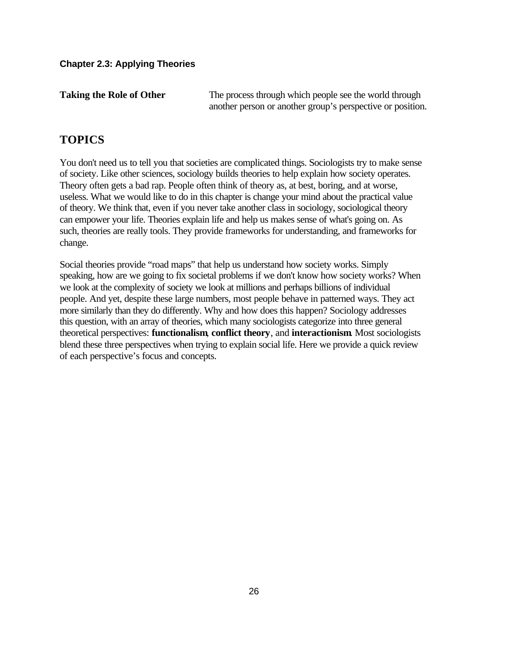**Taking the Role of Other** The process through which people see the world through another person or another group's perspective or position.

### **TOPICS**

You don't need us to tell you that societies are complicated things. Sociologists try to make sense of society. Like other sciences, sociology builds theories to help explain how society operates. Theory often gets a bad rap. People often think of theory as, at best, boring, and at worse, useless. What we would like to do in this chapter is change your mind about the practical value of theory. We think that, even if you never take another class in sociology, sociological theory can empower your life. Theories explain life and help us makes sense of what's going on. As such, theories are really tools. They provide frameworks for understanding, and frameworks for change.

Social theories provide "road maps" that help us understand how society works. Simply speaking, how are we going to fix societal problems if we don't know how society works? When we look at the complexity of society we look at millions and perhaps billions of individual people. And yet, despite these large numbers, most people behave in patterned ways. They act more similarly than they do differently. Why and how does this happen? Sociology addresses this question, with an array of theories, which many sociologists categorize into three general theoretical perspectives: **functionalism**, **conflict theory**, and **interactionism**. Most sociologists blend these three perspectives when trying to explain social life. Here we provide a quick review of each perspective's focus and concepts.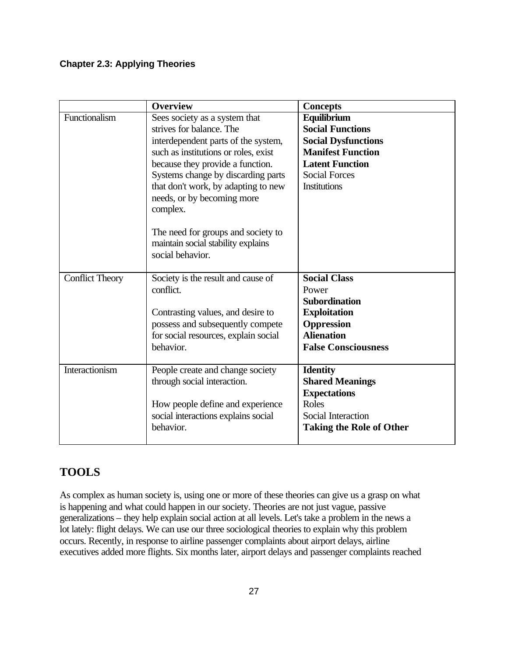|                        | <b>Overview</b>                                                                                                                                                                                                                                                                                                                                                                                     | <b>Concepts</b>                                                                                                                                                           |
|------------------------|-----------------------------------------------------------------------------------------------------------------------------------------------------------------------------------------------------------------------------------------------------------------------------------------------------------------------------------------------------------------------------------------------------|---------------------------------------------------------------------------------------------------------------------------------------------------------------------------|
| Functionalism          | Sees society as a system that<br>strives for balance. The<br>interdependent parts of the system,<br>such as institutions or roles, exist<br>because they provide a function.<br>Systems change by discarding parts<br>that don't work, by adapting to new<br>needs, or by becoming more<br>complex.<br>The need for groups and society to<br>maintain social stability explains<br>social behavior. | Equilibrium<br><b>Social Functions</b><br><b>Social Dysfunctions</b><br><b>Manifest Function</b><br><b>Latent Function</b><br><b>Social Forces</b><br><b>Institutions</b> |
| <b>Conflict Theory</b> | Society is the result and cause of<br>conflict.<br>Contrasting values, and desire to<br>possess and subsequently compete<br>for social resources, explain social<br>behavior.                                                                                                                                                                                                                       | <b>Social Class</b><br>Power<br><b>Subordination</b><br><b>Exploitation</b><br><b>Oppression</b><br><b>Alienation</b><br><b>False Consciousness</b>                       |
| Interactionism         | People create and change society<br>through social interaction.<br>How people define and experience<br>social interactions explains social<br>behavior.                                                                                                                                                                                                                                             | <b>Identity</b><br><b>Shared Meanings</b><br><b>Expectations</b><br>Roles<br><b>Social Interaction</b><br><b>Taking the Role of Other</b>                                 |

### **TOOLS**

As complex as human society is, using one or more of these theories can give us a grasp on what is happening and what could happen in our society. Theories are not just vague, passive generalizations – they help explain social action at all levels. Let's take a problem in the news a lot lately: flight delays. We can use our three sociological theories to explain why this problem occurs. Recently, in response to airline passenger complaints about airport delays, airline executives added more flights. Six months later, airport delays and passenger complaints reached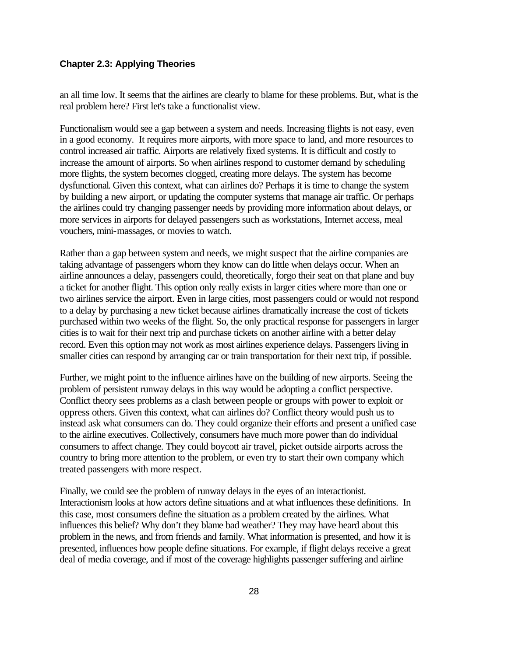an all time low. It seems that the airlines are clearly to blame for these problems. But, what is the real problem here? First let's take a functionalist view.

Functionalism would see a gap between a system and needs. Increasing flights is not easy, even in a good economy. It requires more airports, with more space to land, and more resources to control increased air traffic. Airports are relatively fixed systems. It is difficult and costly to increase the amount of airports. So when airlines respond to customer demand by scheduling more flights, the system becomes clogged, creating more delays. The system has become dysfunctional. Given this context, what can airlines do? Perhaps it is time to change the system by building a new airport, or updating the computer systems that manage air traffic. Or perhaps the airlines could try changing passenger needs by providing more information about delays, or more services in airports for delayed passengers such as workstations, Internet access, meal vouchers, mini-massages, or movies to watch.

Rather than a gap between system and needs, we might suspect that the airline companies are taking advantage of passengers whom they know can do little when delays occur. When an airline announces a delay, passengers could, theoretically, forgo their seat on that plane and buy a ticket for another flight. This option only really exists in larger cities where more than one or two airlines service the airport. Even in large cities, most passengers could or would not respond to a delay by purchasing a new ticket because airlines dramatically increase the cost of tickets purchased within two weeks of the flight. So, the only practical response for passengers in larger cities is to wait for their next trip and purchase tickets on another airline with a better delay record. Even this option may not work as most airlines experience delays. Passengers living in smaller cities can respond by arranging car or train transportation for their next trip, if possible.

Further, we might point to the influence airlines have on the building of new airports. Seeing the problem of persistent runway delays in this way would be adopting a conflict perspective. Conflict theory sees problems as a clash between people or groups with power to exploit or oppress others. Given this context, what can airlines do? Conflict theory would push us to instead ask what consumers can do. They could organize their efforts and present a unified case to the airline executives. Collectively, consumers have much more power than do individual consumers to affect change. They could boycott air travel, picket outside airports across the country to bring more attention to the problem, or even try to start their own company which treated passengers with more respect.

Finally, we could see the problem of runway delays in the eyes of an interactionist. Interactionism looks at how actors define situations and at what influences these definitions. In this case, most consumers define the situation as a problem created by the airlines. What influences this belief? Why don't they blame bad weather? They may have heard about this problem in the news, and from friends and family. What information is presented, and how it is presented, influences how people define situations. For example, if flight delays receive a great deal of media coverage, and if most of the coverage highlights passenger suffering and airline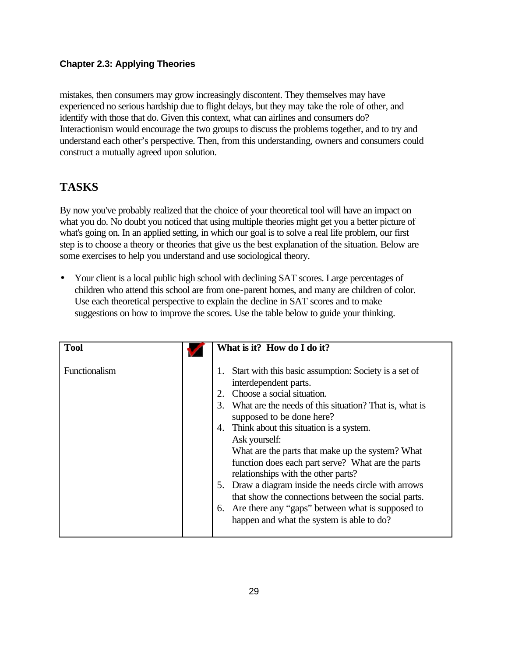mistakes, then consumers may grow increasingly discontent. They themselves may have experienced no serious hardship due to flight delays, but they may take the role of other, and identify with those that do. Given this context, what can airlines and consumers do? Interactionism would encourage the two groups to discuss the problems together, and to try and understand each other's perspective. Then, from this understanding, owners and consumers could construct a mutually agreed upon solution.

### **TASKS**

By now you've probably realized that the choice of your theoretical tool will have an impact on what you do. No doubt you noticed that using multiple theories might get you a better picture of what's going on. In an applied setting, in which our goal is to solve a real life problem, our first step is to choose a theory or theories that give us the best explanation of the situation. Below are some exercises to help you understand and use sociological theory.

• Your client is a local public high school with declining SAT scores. Large percentages of children who attend this school are from one-parent homes, and many are children of color. Use each theoretical perspective to explain the decline in SAT scores and to make suggestions on how to improve the scores. Use the table below to guide your thinking.

| <b>Tool</b>   | What is it? How do I do it?                                                                                                                                                                                                                                                                                                                                                                                                                                                                                                                                                                                                                              |
|---------------|----------------------------------------------------------------------------------------------------------------------------------------------------------------------------------------------------------------------------------------------------------------------------------------------------------------------------------------------------------------------------------------------------------------------------------------------------------------------------------------------------------------------------------------------------------------------------------------------------------------------------------------------------------|
| Functionalism | Start with this basic assumption: Society is a set of<br>1.<br>interdependent parts.<br>Choose a social situation.<br>2.<br>What are the needs of this situation? That is, what is<br>3.<br>supposed to be done here?<br>4. Think about this situation is a system.<br>Ask yourself:<br>What are the parts that make up the system? What<br>function does each part serve? What are the parts<br>relationships with the other parts?<br>5. Draw a diagram inside the needs circle with arrows<br>that show the connections between the social parts.<br>6. Are there any "gaps" between what is supposed to<br>happen and what the system is able to do? |